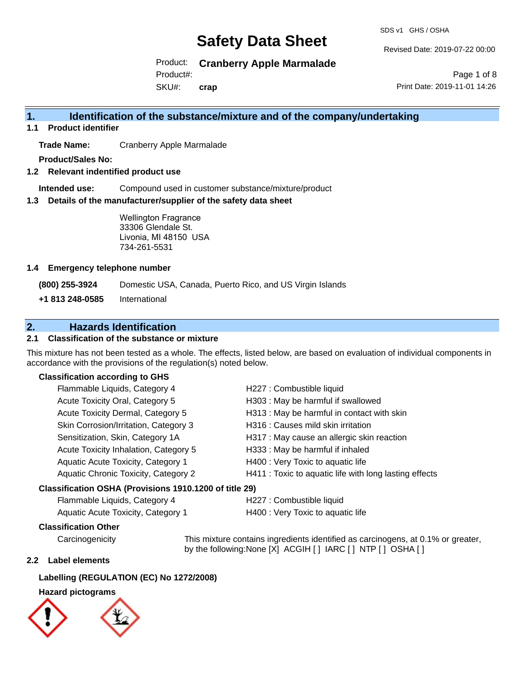SDS v1 GHS / OSHA

Revised Date: 2019-07-22 00:00

Product: **Cranberry Apple Marmalade**

Product#:

SKU#: **crap**

Page 1 of 8 Print Date: 2019-11-01 14:26

# **1. Identification of the substance/mixture and of the company/undertaking**

**1.1 Product identifier**

**Trade Name:** Cranberry Apple Marmalade

**Product/Sales No:**

**1.2 Relevant indentified product use**

**Intended use:** Compound used in customer substance/mixture/product

**1.3 Details of the manufacturer/supplier of the safety data sheet**

Wellington Fragrance 33306 Glendale St. Livonia, MI 48150 USA 734-261-5531

### **1.4 Emergency telephone number**

**(800) 255-3924** Domestic USA, Canada, Puerto Rico, and US Virgin Islands

**+1 813 248-0585** International

# **2. Hazards Identification**

## **2.1 Classification of the substance or mixture**

This mixture has not been tested as a whole. The effects, listed below, are based on evaluation of individual components in accordance with the provisions of the regulation(s) noted below.

## **Classification according to GHS**

| Classification OSHA (Provisions 1910.1200 of title 29) |                                       |                                                        |
|--------------------------------------------------------|---------------------------------------|--------------------------------------------------------|
|                                                        | Aquatic Chronic Toxicity, Category 2  | H411 : Toxic to aquatic life with long lasting effects |
|                                                        | Aquatic Acute Toxicity, Category 1    | H400 : Very Toxic to aquatic life                      |
|                                                        | Acute Toxicity Inhalation, Category 5 | H333: May be harmful if inhaled                        |
|                                                        | Sensitization, Skin, Category 1A      | H317 : May cause an allergic skin reaction             |
|                                                        | Skin Corrosion/Irritation, Category 3 | H316 : Causes mild skin irritation                     |
|                                                        | Acute Toxicity Dermal, Category 5     | H313 : May be harmful in contact with skin             |
|                                                        | Acute Toxicity Oral, Category 5       | H303 : May be harmful if swallowed                     |
|                                                        | Flammable Liquids, Category 4         | H227 : Combustible liquid                              |

# Flammable Liquids, Category 4 H227 : Combustible liquid

| remindere Eigende, Sategory r      | .    |
|------------------------------------|------|
| Aquatic Acute Toxicity, Category 1 | H400 |

1: Very Toxic to aquatic life

# **Classification Other**

Carcinogenicity This mixture contains ingredients identified as carcinogens, at 0.1% or greater, by the following:None [X] ACGIH [ ] IARC [ ] NTP [ ] OSHA [ ]

### **2.2 Label elements**

### **Labelling (REGULATION (EC) No 1272/2008)**

# **Hazard pictograms**

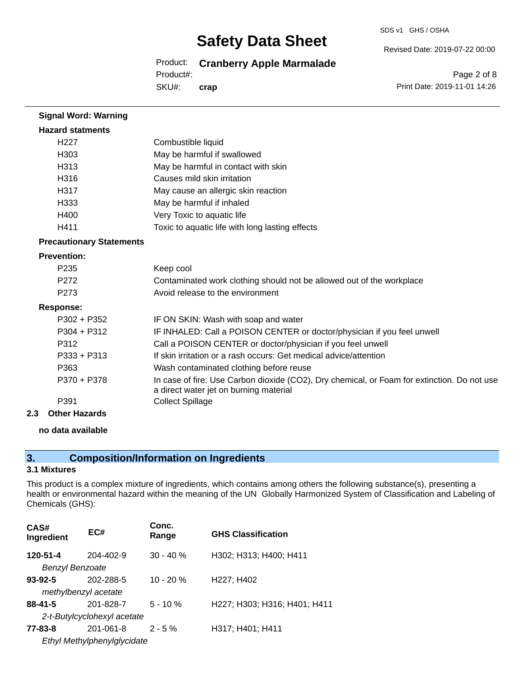SDS v1 GHS / OSHA

Revised Date: 2019-07-22 00:00

Product: **Cranberry Apple Marmalade**

Product#:

SKU#: **crap**

Page 2 of 8 Print Date: 2019-11-01 14:26

| <b>Signal Word: Warning</b>     |                                                                                                                                       |
|---------------------------------|---------------------------------------------------------------------------------------------------------------------------------------|
| <b>Hazard statments</b>         |                                                                                                                                       |
| H <sub>22</sub> 7               | Combustible liquid                                                                                                                    |
| H303                            | May be harmful if swallowed                                                                                                           |
| H313                            | May be harmful in contact with skin                                                                                                   |
| H <sub>316</sub>                | Causes mild skin irritation                                                                                                           |
| H317                            | May cause an allergic skin reaction                                                                                                   |
| H <sub>333</sub>                | May be harmful if inhaled                                                                                                             |
| H400                            | Very Toxic to aquatic life                                                                                                            |
| H411                            | Toxic to aquatic life with long lasting effects                                                                                       |
| <b>Precautionary Statements</b> |                                                                                                                                       |
| <b>Prevention:</b>              |                                                                                                                                       |
| P <sub>235</sub>                | Keep cool                                                                                                                             |
| P272                            | Contaminated work clothing should not be allowed out of the workplace                                                                 |
| P273                            | Avoid release to the environment                                                                                                      |
| <b>Response:</b>                |                                                                                                                                       |
| P302 + P352                     | IF ON SKIN: Wash with soap and water                                                                                                  |
| P304 + P312                     | IF INHALED: Call a POISON CENTER or doctor/physician if you feel unwell                                                               |
| P312                            | Call a POISON CENTER or doctor/physician if you feel unwell                                                                           |
| P333 + P313                     | If skin irritation or a rash occurs: Get medical advice/attention                                                                     |
| P363                            | Wash contaminated clothing before reuse                                                                                               |
| P370 + P378                     | In case of fire: Use Carbon dioxide (CO2), Dry chemical, or Foam for extinction. Do not use<br>a direct water jet on burning material |
| P391                            | <b>Collect Spillage</b>                                                                                                               |
| Othor Hazarde                   |                                                                                                                                       |

**2.3 Other Hazards**

# **no data available**

# **3. Composition/Information on Ingredients**

### **3.1 Mixtures**

This product is a complex mixture of ingredients, which contains among others the following substance(s), presenting a health or environmental hazard within the meaning of the UN Globally Harmonized System of Classification and Labeling of Chemicals (GHS):

| CAS#<br>Ingredient          | EC#                         | Conc.<br>Range | <b>GHS Classification</b>    |
|-----------------------------|-----------------------------|----------------|------------------------------|
| 120-51-4                    | 204-402-9                   | $30 - 40 \%$   | H302; H313; H400; H411       |
| <b>Benzyl Benzoate</b>      |                             |                |                              |
| $93 - 92 - 5$               | 202-288-5                   | $10 - 20%$     | H227; H402                   |
| methylbenzyl acetate        |                             |                |                              |
| $88 - 41 - 5$               | 201-828-7                   | $5 - 10 \%$    | H227; H303; H316; H401; H411 |
|                             | 2-t-Butylcyclohexyl acetate |                |                              |
| 77-83-8                     | 201-061-8                   | $2 - 5%$       | H317; H401; H411             |
| Ethyl Methylphenylglycidate |                             |                |                              |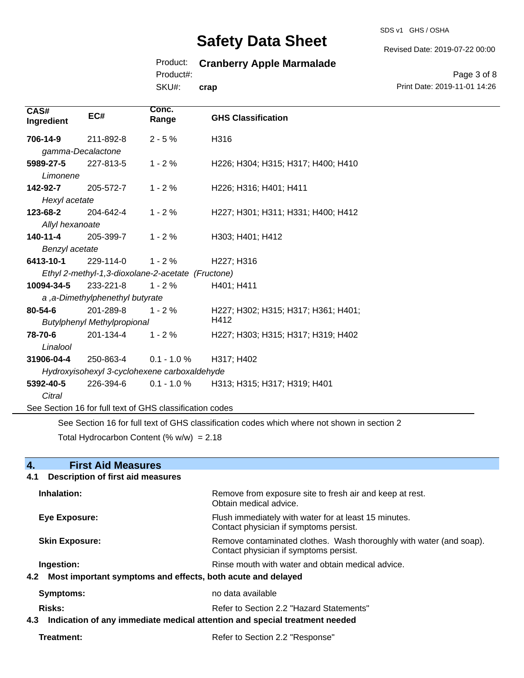SDS v1 GHS / OSHA

Revised Date: 2019-07-22 00:00

# Product: **Cranberry Apple Marmalade**

Product#:

SKU#: **crap**

Page 3 of 8 Print Date: 2019-11-01 14:26

| CAS#<br>Ingredient                                                                                            | EC#                             | Conc.<br>Range                               | <b>GHS Classification</b>           |
|---------------------------------------------------------------------------------------------------------------|---------------------------------|----------------------------------------------|-------------------------------------|
| 706-14-9                                                                                                      | 211-892-8                       | $2 - 5%$                                     | H316                                |
|                                                                                                               | gamma-Decalactone               |                                              |                                     |
| 5989-27-5                                                                                                     | 227-813-5                       | $1 - 2%$                                     | H226; H304; H315; H317; H400; H410  |
| Limonene                                                                                                      |                                 |                                              |                                     |
| 142-92-7                                                                                                      | 205-572-7                       | $1 - 2%$                                     | H226; H316; H401; H411              |
| Hexyl acetate                                                                                                 |                                 |                                              |                                     |
| 123-68-2                                                                                                      | 204-642-4                       | $1 - 2%$                                     | H227; H301; H311; H331; H400; H412  |
| Allyl hexanoate                                                                                               |                                 |                                              |                                     |
| $140 - 11 - 4$                                                                                                | 205-399-7                       | $1 - 2%$                                     | H303; H401; H412                    |
| Benzyl acetate                                                                                                |                                 |                                              |                                     |
| 6413-10-1                                                                                                     | 229-114-0                       | $1 - 2%$                                     | H227; H316                          |
| Ethyl 2-methyl-1,3-dioxolane-2-acetate (Fructone)                                                             |                                 |                                              |                                     |
| 10094-34-5                                                                                                    | 233-221-8                       | $1 - 2%$                                     | H401; H411                          |
|                                                                                                               | a, a-Dimethylphenethyl butyrate |                                              |                                     |
| 80-54-6                                                                                                       | 201-289-8                       | $1 - 2%$                                     | H227; H302; H315; H317; H361; H401; |
| <b>Butylphenyl Methylpropional</b>                                                                            |                                 |                                              | H412                                |
| 78-70-6                                                                                                       | 201-134-4                       | $1 - 2%$                                     | H227; H303; H315; H317; H319; H402  |
| Linalool                                                                                                      |                                 |                                              |                                     |
| 31906-04-4                                                                                                    | 250-863-4                       | $0.1 - 1.0 \%$                               | H317; H402                          |
|                                                                                                               |                                 | Hydroxyisohexyl 3-cyclohexene carboxaldehyde |                                     |
| 5392-40-5                                                                                                     | 226-394-6                       | $0.1 - 1.0 \%$                               | H313; H315; H317; H319; H401        |
| Citral                                                                                                        |                                 |                                              |                                     |
| See Section 16 for full text of GHS classification codes                                                      |                                 |                                              |                                     |
| $\Omega$ . $\Omega$ , and a set of the constraint show the set of the contribution of the set of the $\Omega$ |                                 |                                              |                                     |

See Section 16 for full text of GHS classification codes which where not shown in section 2

Total Hydrocarbon Content (%  $w/w$ ) = 2.18

| 4.<br><b>First Aid Measures</b>                                                   |                                                                                                               |  |
|-----------------------------------------------------------------------------------|---------------------------------------------------------------------------------------------------------------|--|
| <b>Description of first aid measures</b><br>4.1                                   |                                                                                                               |  |
| Inhalation:                                                                       | Remove from exposure site to fresh air and keep at rest.<br>Obtain medical advice.                            |  |
| <b>Eye Exposure:</b>                                                              | Flush immediately with water for at least 15 minutes.<br>Contact physician if symptoms persist.               |  |
| <b>Skin Exposure:</b>                                                             | Remove contaminated clothes. Wash thoroughly with water (and soap).<br>Contact physician if symptoms persist. |  |
| Ingestion:                                                                        | Rinse mouth with water and obtain medical advice.                                                             |  |
| 4.2 Most important symptoms and effects, both acute and delayed                   |                                                                                                               |  |
| <b>Symptoms:</b>                                                                  | no data available                                                                                             |  |
| Risks:                                                                            | Refer to Section 2.2 "Hazard Statements"                                                                      |  |
| Indication of any immediate medical attention and special treatment needed<br>4.3 |                                                                                                               |  |
| Treatment:<br>Refer to Section 2.2 "Response"                                     |                                                                                                               |  |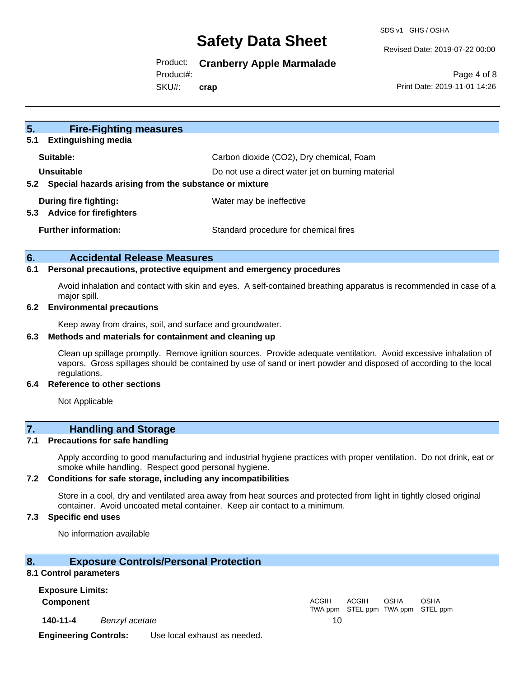SDS v1 GHS / OSHA

Revised Date: 2019-07-22 00:00

Product: **Cranberry Apple Marmalade**

Product#:

SKU#: **crap**

Page 4 of 8 Print Date: 2019-11-01 14:26

| 5 <sub>1</sub><br><b>Fire-Fighting measures</b><br><b>Extinguishing media</b><br>5.1                                            |                                          |
|---------------------------------------------------------------------------------------------------------------------------------|------------------------------------------|
| Suitable:                                                                                                                       | Carbon dioxide (CO2), Dry chemical, Foam |
| Unsuitable<br>Do not use a direct water jet on burning material<br>Special hazards arising from the substance or mixture<br>5.2 |                                          |
| During fire fighting:<br><b>Advice for firefighters</b><br>5.3                                                                  | Water may be ineffective                 |
| <b>Further information:</b>                                                                                                     | Standard procedure for chemical fires    |

## **6. Accidental Release Measures**

#### **6.1 Personal precautions, protective equipment and emergency procedures**

Avoid inhalation and contact with skin and eyes. A self-contained breathing apparatus is recommended in case of a major spill.

#### **6.2 Environmental precautions**

Keep away from drains, soil, and surface and groundwater.

#### **6.3 Methods and materials for containment and cleaning up**

Clean up spillage promptly. Remove ignition sources. Provide adequate ventilation. Avoid excessive inhalation of vapors. Gross spillages should be contained by use of sand or inert powder and disposed of according to the local regulations.

#### **6.4 Reference to other sections**

Not Applicable

# **7. Handling and Storage**

#### **7.1 Precautions for safe handling**

Apply according to good manufacturing and industrial hygiene practices with proper ventilation. Do not drink, eat or smoke while handling. Respect good personal hygiene.

#### **7.2 Conditions for safe storage, including any incompatibilities**

Store in a cool, dry and ventilated area away from heat sources and protected from light in tightly closed original container. Avoid uncoated metal container. Keep air contact to a minimum.

## **7.3 Specific end uses**

No information available

### **8. Exposure Controls/Personal Protection**

### **8.1 Control parameters**

**Exposure Limits:**

**Component** ACGIH

**140-11-4** *Benzyl acetate* 10

TWA ppm STEL ppm TWA ppm STEL ppm ACGIH OSHA OSHA

**Engineering Controls:** Use local exhaust as needed.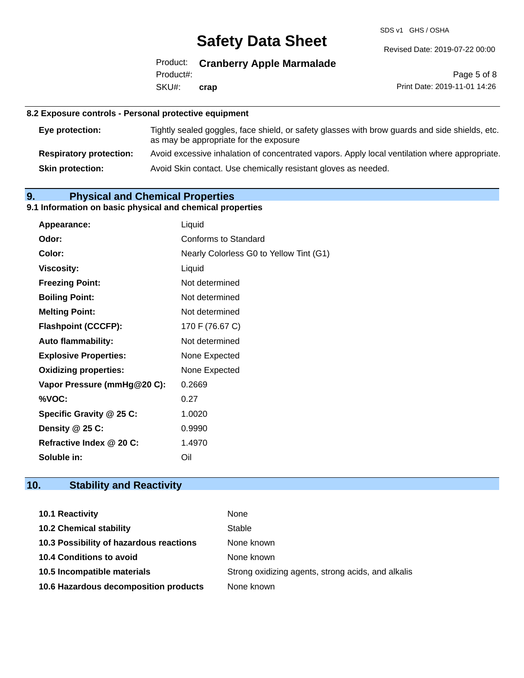SDS v1 GHS / OSHA

Revised Date: 2019-07-22 00:00

Product: **Cranberry Apple Marmalade** SKU#: Product#: **crap**

Page 5 of 8 Print Date: 2019-11-01 14:26

## **8.2 Exposure controls - Personal protective equipment**

| Eye protection:                | Tightly sealed goggles, face shield, or safety glasses with brow guards and side shields, etc.<br>as may be appropriate for the exposure |
|--------------------------------|------------------------------------------------------------------------------------------------------------------------------------------|
| <b>Respiratory protection:</b> | Avoid excessive inhalation of concentrated vapors. Apply local ventilation where appropriate.                                            |
| <b>Skin protection:</b>        | Avoid Skin contact. Use chemically resistant gloves as needed.                                                                           |

# **9. Physical and Chemical Properties**

# **9.1 Information on basic physical and chemical properties**

| Appearance:                  | Liquid                                  |
|------------------------------|-----------------------------------------|
| Odor:                        | Conforms to Standard                    |
| Color:                       | Nearly Colorless G0 to Yellow Tint (G1) |
| <b>Viscosity:</b>            | Liquid                                  |
| <b>Freezing Point:</b>       | Not determined                          |
| <b>Boiling Point:</b>        | Not determined                          |
| <b>Melting Point:</b>        | Not determined                          |
| <b>Flashpoint (CCCFP):</b>   | 170 F (76.67 C)                         |
| <b>Auto flammability:</b>    | Not determined                          |
| <b>Explosive Properties:</b> | None Expected                           |
| <b>Oxidizing properties:</b> | None Expected                           |
| Vapor Pressure (mmHg@20 C):  | 0.2669                                  |
| %VOC:                        | 0.27                                    |
| Specific Gravity @ 25 C:     | 1.0020                                  |
| Density @ 25 C:              | 0.9990                                  |
| Refractive Index @ 20 C:     | 1.4970                                  |
| Soluble in:                  | Oil                                     |

# **10. Stability and Reactivity**

| 10.1 Reactivity                         | None                                               |
|-----------------------------------------|----------------------------------------------------|
| <b>10.2 Chemical stability</b>          | Stable                                             |
| 10.3 Possibility of hazardous reactions | None known                                         |
| <b>10.4 Conditions to avoid</b>         | None known                                         |
| 10.5 Incompatible materials             | Strong oxidizing agents, strong acids, and alkalis |
| 10.6 Hazardous decomposition products   | None known                                         |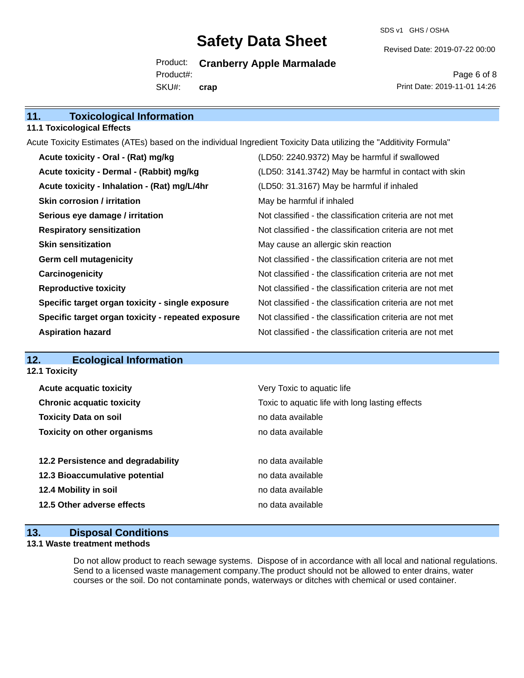SDS v1 GHS / OSHA

Revised Date: 2019-07-22 00:00

Product: **Cranberry Apple Marmalade** SKU#: Product#: **crap**

Page 6 of 8 Print Date: 2019-11-01 14:26

| 11. | <b>Toxicological Information</b> |
|-----|----------------------------------|
|     |                                  |

### **11.1 Toxicological Effects**

Acute Toxicity Estimates (ATEs) based on the individual Ingredient Toxicity Data utilizing the "Additivity Formula"

| Acute toxicity - Oral - (Rat) mg/kg                | (LD50: 2240.9372) May be harmful if swallowed            |
|----------------------------------------------------|----------------------------------------------------------|
| Acute toxicity - Dermal - (Rabbit) mg/kg           | (LD50: 3141.3742) May be harmful in contact with skin    |
| Acute toxicity - Inhalation - (Rat) mg/L/4hr       | (LD50: 31.3167) May be harmful if inhaled                |
| <b>Skin corrosion / irritation</b>                 | May be harmful if inhaled                                |
| Serious eye damage / irritation                    | Not classified - the classification criteria are not met |
| <b>Respiratory sensitization</b>                   | Not classified - the classification criteria are not met |
| <b>Skin sensitization</b>                          | May cause an allergic skin reaction                      |
| <b>Germ cell mutagenicity</b>                      | Not classified - the classification criteria are not met |
| Carcinogenicity                                    | Not classified - the classification criteria are not met |
| <b>Reproductive toxicity</b>                       | Not classified - the classification criteria are not met |
| Specific target organ toxicity - single exposure   | Not classified - the classification criteria are not met |
| Specific target organ toxicity - repeated exposure | Not classified - the classification criteria are not met |
| <b>Aspiration hazard</b>                           | Not classified - the classification criteria are not met |

# **12. Ecological Information**

**12.1 Toxicity**

| <b>Acute acquatic toxicity</b>     | Very Toxic to aquatic life                      |
|------------------------------------|-------------------------------------------------|
| <b>Chronic acquatic toxicity</b>   | Toxic to aquatic life with long lasting effects |
| <b>Toxicity Data on soil</b>       | no data available                               |
| <b>Toxicity on other organisms</b> | no data available                               |
|                                    |                                                 |
|                                    |                                                 |
| 12.2 Persistence and degradability | no data available                               |
| 12.3 Bioaccumulative potential     | no data available                               |
| 12.4 Mobility in soil              | no data available                               |
| 12.5 Other adverse effects         | no data available                               |

## **13. Disposal Conditions**

### **13.1 Waste treatment methods**

Do not allow product to reach sewage systems. Dispose of in accordance with all local and national regulations. Send to a licensed waste management company.The product should not be allowed to enter drains, water courses or the soil. Do not contaminate ponds, waterways or ditches with chemical or used container.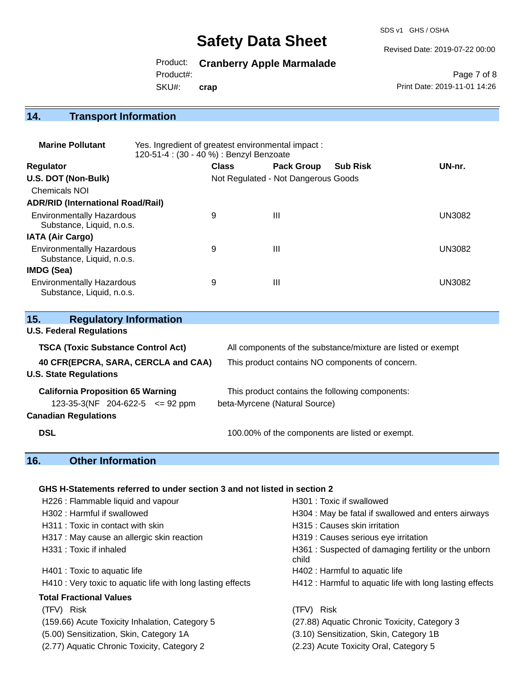SDS v1 GHS / OSHA

Revised Date: 2019-07-22 00:00

Product: **Cranberry Apple Marmalade**

Product#:

SKU#: **crap**

Page 7 of 8 Print Date: 2019-11-01 14:26

# **14. Transport Information**

| <b>Marine Pollutant</b>                                       | Yes. Ingredient of greatest environmental impact:<br>120-51-4 : (30 - 40 %) : Benzyl Benzoate |              |                                     |                 |               |
|---------------------------------------------------------------|-----------------------------------------------------------------------------------------------|--------------|-------------------------------------|-----------------|---------------|
| <b>Regulator</b>                                              |                                                                                               | <b>Class</b> | <b>Pack Group</b>                   | <b>Sub Risk</b> | UN-nr.        |
| U.S. DOT (Non-Bulk)                                           |                                                                                               |              | Not Regulated - Not Dangerous Goods |                 |               |
| <b>Chemicals NOI</b>                                          |                                                                                               |              |                                     |                 |               |
| <b>ADR/RID (International Road/Rail)</b>                      |                                                                                               |              |                                     |                 |               |
| <b>Environmentally Hazardous</b><br>Substance, Liquid, n.o.s. |                                                                                               | 9            | Ш                                   |                 | <b>UN3082</b> |
| <b>IATA (Air Cargo)</b>                                       |                                                                                               |              |                                     |                 |               |
| <b>Environmentally Hazardous</b><br>Substance, Liquid, n.o.s. |                                                                                               | 9            | Ш                                   |                 | <b>UN3082</b> |
| <b>IMDG (Sea)</b>                                             |                                                                                               |              |                                     |                 |               |
| <b>Environmentally Hazardous</b><br>Substance, Liquid, n.o.s. |                                                                                               | 9            | Ш                                   |                 | UN3082        |

| 15.<br><b>Regulatory Information</b>                                 |                                                              |
|----------------------------------------------------------------------|--------------------------------------------------------------|
| <b>U.S. Federal Regulations</b>                                      |                                                              |
| <b>TSCA (Toxic Substance Control Act)</b>                            | All components of the substance/mixture are listed or exempt |
| 40 CFR(EPCRA, SARA, CERCLA and CAA)<br><b>U.S. State Regulations</b> | This product contains NO components of concern.              |
| <b>California Proposition 65 Warning</b>                             | This product contains the following components:              |
| $123-35-3(NF)$ 204-622-5 $\leq$ 92 ppm                               | beta-Myrcene (Natural Source)                                |
| <b>Canadian Regulations</b>                                          |                                                              |
| <b>DSL</b>                                                           | 100.00% of the components are listed or exempt.              |

# **16. Other Information**

## **GHS H-Statements referred to under section 3 and not listed in section 2**

| H226 : Flammable liquid and vapour                          | H301 : Toxic if swallowed                                    |
|-------------------------------------------------------------|--------------------------------------------------------------|
| H302 : Harmful if swallowed                                 | H304 : May be fatal if swallowed and enters airways          |
| H311 : Toxic in contact with skin                           | H315 : Causes skin irritation                                |
| H317 : May cause an allergic skin reaction                  | H319 : Causes serious eye irritation                         |
| H331 : Toxic if inhaled                                     | H361: Suspected of damaging fertility or the unborn<br>child |
| H401 : Toxic to aquatic life                                | H402 : Harmful to aquatic life                               |
| H410 : Very toxic to aquatic life with long lasting effects | H412 : Harmful to aquatic life with long lasting effects     |
| Total Fractional Values                                     |                                                              |
| (TFV) Risk                                                  | (TFV) Risk                                                   |
| (159.66) Acute Toxicity Inhalation, Category 5              | (27.88) Aquatic Chronic Toxicity, Category 3                 |
| (5.00) Sensitization, Skin, Category 1A                     | (3.10) Sensitization, Skin, Category 1B                      |
| (2.77) Aquatic Chronic Toxicity, Category 2                 | (2.23) Acute Toxicity Oral, Category 5                       |